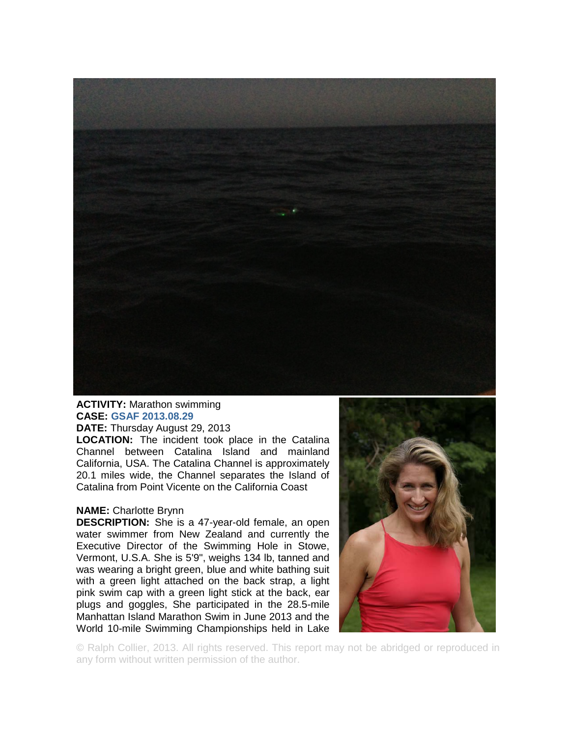

## **ACTIVITY:** Marathon swimming **CASE: GSAF 2013.08.29 DATE:** Thursday August 29, 2013

**LOCATION:** The incident took place in the Catalina Channel between Catalina Island and mainland California, USA. The Catalina Channel is approximately 20.1 miles wide, the Channel separates the Island of Catalina from Point Vicente on the California Coast

## **NAME:** Charlotte Brynn

**DESCRIPTION:** She is a 47-year-old female, an open water swimmer from New Zealand and currently the Executive Director of the Swimming Hole in Stowe, Vermont, U.S.A. She is 5'9", weighs 134 lb, tanned and was wearing a bright green, blue and white bathing suit with a green light attached on the back strap, a light pink swim cap with a green light stick at the back, ear plugs and goggles, She participated in the 28.5-mile Manhattan Island Marathon Swim in June 2013 and the World 10-mile Swimming Championships held in Lake



© Ralph Collier, 2013. All rights reserved. This report may not be abridged or reproduced in any form without written permission of the author.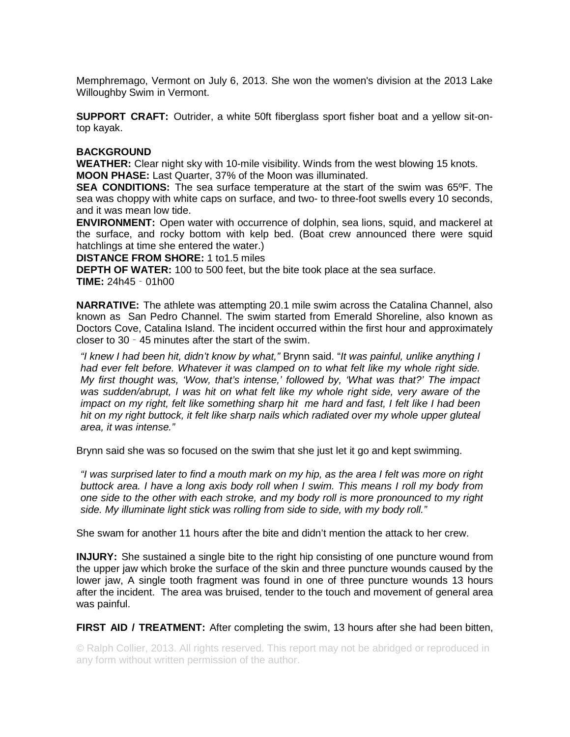Memphremago, Vermont on July 6, 2013. She won the women's division at the 2013 Lake Willoughby Swim in Vermont.

**SUPPORT CRAFT:** Outrider, a white 50ft fiberglass sport fisher boat and a yellow sit-ontop kayak.

## **BACKGROUND**

**WEATHER:** Clear night sky with 10-mile visibility. Winds from the west blowing 15 knots. **MOON PHASE:** Last Quarter, 37% of the Moon was illuminated.

**SEA CONDITIONS:** The sea surface temperature at the start of the swim was 65ºF. The sea was choppy with white caps on surface, and two- to three-foot swells every 10 seconds, and it was mean low tide.

**ENVIRONMENT:** Open water with occurrence of dolphin, sea lions, squid, and mackerel at the surface, and rocky bottom with kelp bed. (Boat crew announced there were squid hatchlings at time she entered the water.)

**DISTANCE FROM SHORE:** 1 to1.5 miles

**DEPTH OF WATER:** 100 to 500 feet, but the bite took place at the sea surface. **TIME:** 24h45‐01h00

**NARRATIVE:** The athlete was attempting 20.1 mile swim across the Catalina Channel, also known as San Pedro Channel. The swim started from Emerald Shoreline, also known as Doctors Cove, Catalina Island. The incident occurred within the first hour and approximately closer to 30‐45 minutes after the start of the swim.

*"I knew I had been hit, didn't know by what,"* Brynn said. "*It was painful, unlike anything I had ever felt before. Whatever it was clamped on to what felt like my whole right side. My first thought was, 'Wow, that's intense,' followed by, 'What was that?' The impact was sudden/abrupt, I was hit on what felt like my whole right side, very aware of the impact on my right, felt like something sharp hit me hard and fast, I felt like I had been hit on my right buttock, it felt like sharp nails which radiated over my whole upper gluteal area, it was intense."* 

Brynn said she was so focused on the swim that she just let it go and kept swimming.

*"I was surprised later to find a mouth mark on my hip, as the area I felt was more on right buttock area. I have a long axis body roll when I swim. This means I roll my body from one side to the other with each stroke, and my body roll is more pronounced to my right side. My illuminate light stick was rolling from side to side, with my body roll."* 

She swam for another 11 hours after the bite and didn't mention the attack to her crew.

**INJURY:** She sustained a single bite to the right hip consisting of one puncture wound from the upper jaw which broke the surface of the skin and three puncture wounds caused by the lower jaw, A single tooth fragment was found in one of three puncture wounds 13 hours after the incident. The area was bruised, tender to the touch and movement of general area was painful.

**FIRST AID / TREATMENT:** After completing the swim, 13 hours after she had been bitten,

© Ralph Collier, 2013. All rights reserved. This report may not be abridged or reproduced in any form without written permission of the author.